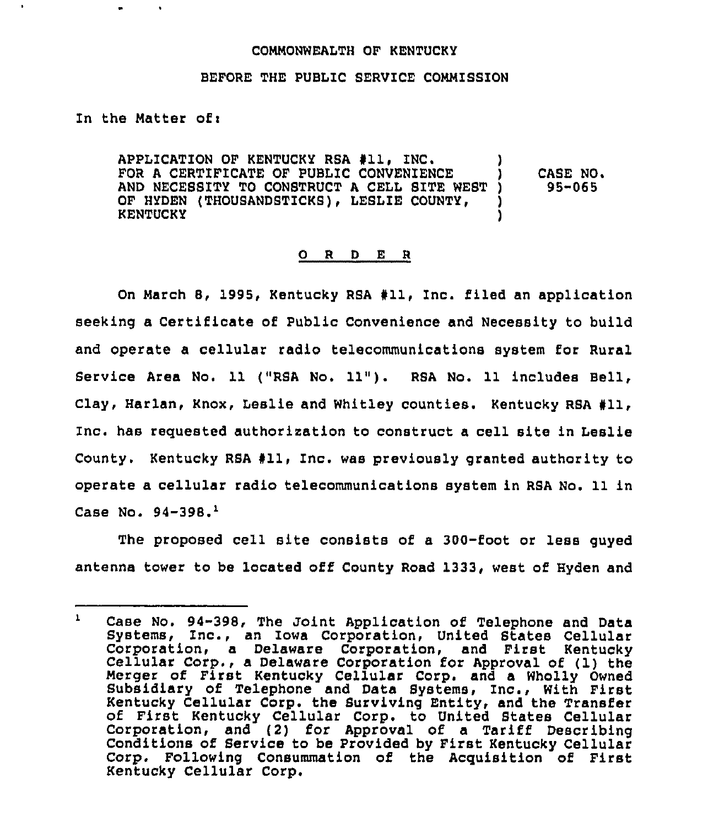## COMMONWEALTH OF KENTUCKY

## BEFORE THE PUBLIC SERVICE COMMISSION

In the Matter of:

APPLICATION OF KENTUCKY RSA #11, INC. FOR A CERTIFICATE OF PUBLIC CONVENIENCE AND NECESSITY TO CONSTRUCT A CELL SITE WEST )<br>OF HYDEN (THOUSANDSTICKS), LESLIE COUNTY, OF HYDEN (THOUSANDSTICKS), LESLIE COUNTY, **KENTUCKY** CASE NO.  $95 - 065$ 

## 0 R <sup>D</sup> E <sup>R</sup>

On March 8, 1995, Kentucky RSA #11, Inc. filed an application seeking a Certificate of Public Convenience and Necessity to build and operate a cellular radio telecommunications system for Rural Service Area No. 11 {"RSA No, 11"). RSA No. 11 includes Bell, Clay, Harlan, Knox, Leslie and Whitley counties. Kentucky RSA #11, Znc. has requested authorization to construct a cell site in Leslie County. Kentucky RBA 911, Inc. was previously granted authority to operate a cellular radio telecommunications system in RSA No. 11 in Case No.  $94-398.$ <sup>1</sup>

The proposed cell site consists of a 300-foot or less guyed antenna tower to be located off County Road 1333, west of Hyden and

 $\mathbf{1}$ Case No. 94-398, The Joint Application of Telephone and Data Systems, Znc., an Iowa Corporation, United States Cellular Corporation, <sup>a</sup> Delaware Corporation, and First Kentucky Cellular Corp., <sup>a</sup> Delaware Corporation for Approval of (1) the Merger of First Kentucky Cellular Corp. and a Wholly Owned Subsidiary of Telephone and Data Systems, Inc., With First Kentucky Cellular Corp. the Surviving Entity, and the Transfer of First Kentucky Cellular Corp. to United States Cellular Corporation, and (2) for Approval of a Tariff Describing Conditions of Service to be Provided by First Kentucky Cellular Corp. Following Consummation of the Acquisition of First Kentucky Cellular Corp.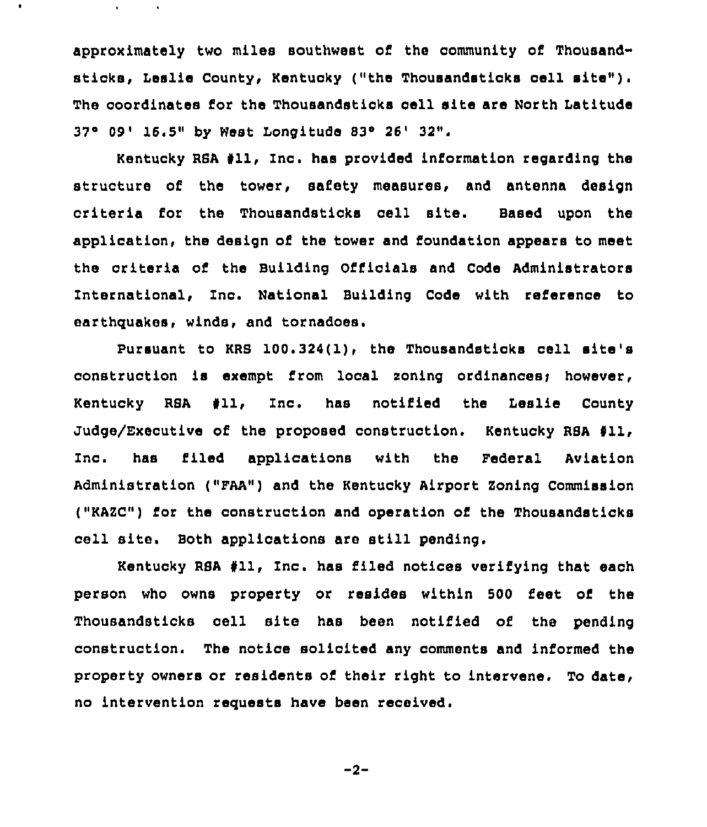approximately two miles southwest of the community of Thousandsticks, Leslie County, Kentucky ("the Thousandsticks cell site"). The coordinates for the Thousandsticks cell site are North Latitude 37° 09' 16.5" by West Longitude 83° 26' 32".

 $\bullet$ 

 $\mathbf{v}$ 

 $\mathbf{A}$ 

Kentucky RSA #11, Inc. has provided information regarding the structure of the tower, safety measures, and antenna design criteria for the Thousandsticks cell site. Based upon the application, the design of the tower and foundation appears to meet the criteria of the Building Officials and Code Administrators International, Znc. National Building Code with reference to earthquakes, winds, and tornadoes.

Pursuant to KRB 100.324(1), the Thousandsticks cell site's construction is exempt from local zoning ordinances; however, Kentucky RSA #11, Inc. has notified the Leslie County Judge/Executive of the proposed construction. Kentucky RBA 611, Inc. has filed applications with the Federal Aviation Administration ("FAA") and the Kentucky Airport Zoning Commission ("KAZC") Eor the construction and operation of the Thousandsticks cell site. Both applications are still pending.

Kentucky RSA #11, Inc. has filed notices verifying that each person who owns property or resides within 500 Eeet of the Thousandsticks cell site has been notified of the pending construction. The notice solicited any comments and informed the property owners or residents of their right to intervene. To date, no intervention requests have been received.

$$
-2 -
$$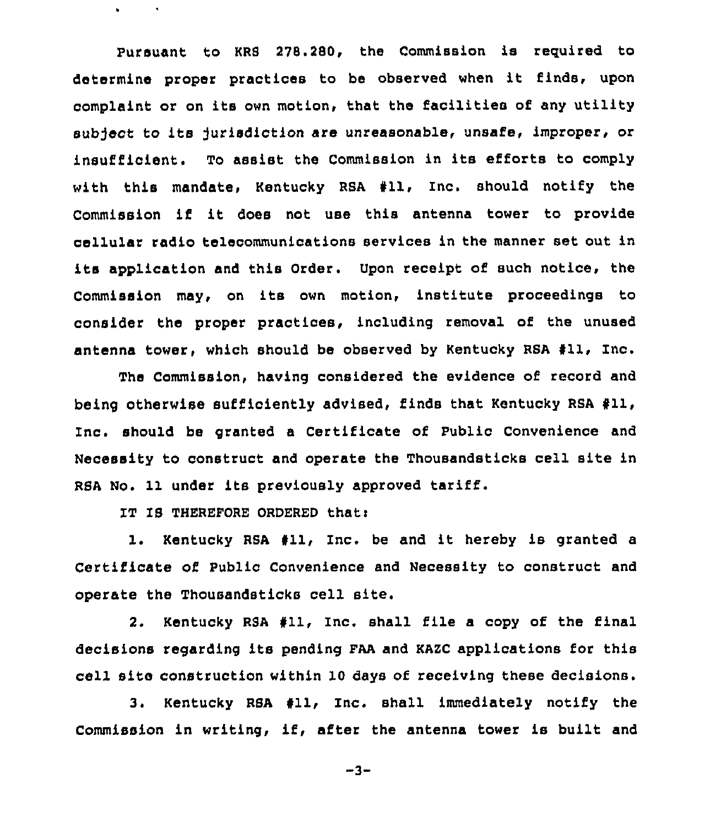Pursuant to KRS 278.280, the Commission is required to determine proper practices to be observed when it finds, upon complaint or on its own motion, that the facilities of any utility subject to its Jurisdiction are unreasonable, unsafe, improper, or insufficient, To assist the Commission in its efforts to comply with this mandate, Kentucky RSA #11, Inc. should notify the Commission if it does not use this antenna tower to provide cellular radio telecommunications services in the manner set out in its application and this Order. Upon receipt of such notice, the Commission may, on its own motion, institute proceedings to consider the proper practices, including removal of the unused antenna tower, which should be observed by Kentucky RSA 411, Inc.

The Commission, having considered the evidence of record and being otherwise sufficiently advised, finds that Kentucky RSA 411, Inc. should be granted <sup>a</sup> Certificate of Public Convenience and Necessity to construct and operate the Thousandsticks cell site in RSA No. 11 under its previously approved tariff.

IT IS THEREFORE ORDERED that:

 $\bullet$ 

1. Kentucky RSA 811, Inc. be and it hereby is granted <sup>a</sup> Certificate of Public Convenience and Necessity to construct and operate the Thousandsticks cell site.

2. Kentucky RSA 411, Inc. shall file a copy of the final decisions regarding its pending FAA and KAZC applications for this cell site construction within 10 days of receiving these decisions.

3. Kentucky RSA 811, Inc. shall immediately notify the Commission in writing, if, after the antenna tower is built and

-3-